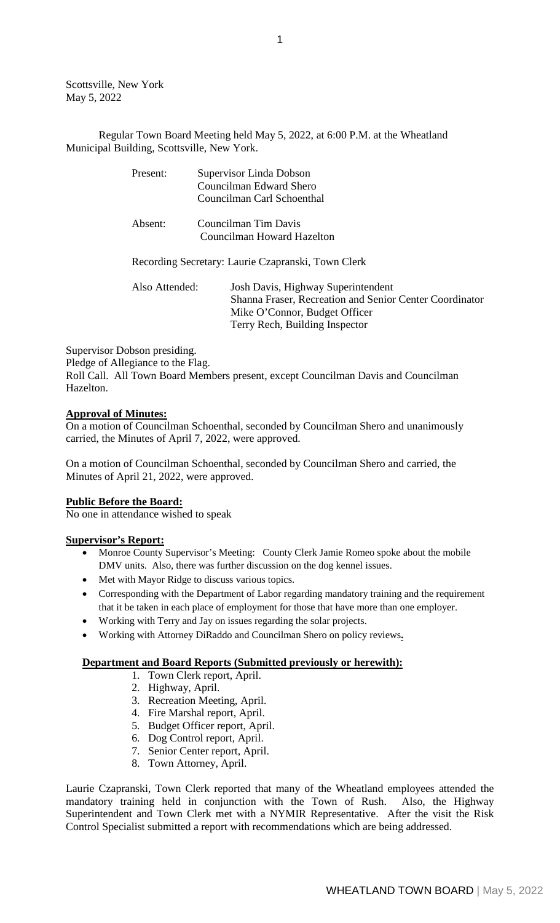Scottsville, New York May 5, 2022

Regular Town Board Meeting held May 5, 2022, at 6:00 P.M. at the Wheatland Municipal Building, Scottsville, New York.

| Present:       | Supervisor Linda Dobson                                 |
|----------------|---------------------------------------------------------|
|                | Councilman Edward Shero                                 |
|                | Councilman Carl Schoenthal                              |
| Absent:        | Councilman Tim Davis                                    |
|                | Councilman Howard Hazelton                              |
|                | Recording Secretary: Laurie Czapranski, Town Clerk      |
| Also Attended: | Josh Davis, Highway Superintendent                      |
|                | Shanna Fraser, Recreation and Senior Center Coordinator |
|                | Mike O'Connor, Budget Officer                           |
|                | Terry Rech, Building Inspector                          |

Supervisor Dobson presiding.

Pledge of Allegiance to the Flag.

Roll Call. All Town Board Members present, except Councilman Davis and Councilman Hazelton.

## **Approval of Minutes:**

On a motion of Councilman Schoenthal, seconded by Councilman Shero and unanimously carried, the Minutes of April 7, 2022, were approved.

On a motion of Councilman Schoenthal, seconded by Councilman Shero and carried, the Minutes of April 21, 2022, were approved.

#### **Public Before the Board:**

No one in attendance wished to speak

## **Supervisor's Report:**

- Monroe County Supervisor's Meeting: County Clerk Jamie Romeo spoke about the mobile DMV units. Also, there was further discussion on the dog kennel issues.
- Met with Mayor Ridge to discuss various topics.
- Corresponding with the Department of Labor regarding mandatory training and the requirement that it be taken in each place of employment for those that have more than one employer.
- Working with Terry and Jay on issues regarding the solar projects.
- Working with Attorney DiRaddo and Councilman Shero on policy reviews**.**

## **Department and Board Reports (Submitted previously or herewith):**

- 1. Town Clerk report, April.
- 2. Highway, April.
- 3. Recreation Meeting, April.
- 4. Fire Marshal report, April.
- 5. Budget Officer report, April.
- 6. Dog Control report, April.
- 7. Senior Center report, April.
- 8. Town Attorney, April.

Laurie Czapranski, Town Clerk reported that many of the Wheatland employees attended the mandatory training held in conjunction with the Town of Rush. Also, the Highway mandatory training held in conjunction with the Town of Rush. Superintendent and Town Clerk met with a NYMIR Representative. After the visit the Risk Control Specialist submitted a report with recommendations which are being addressed.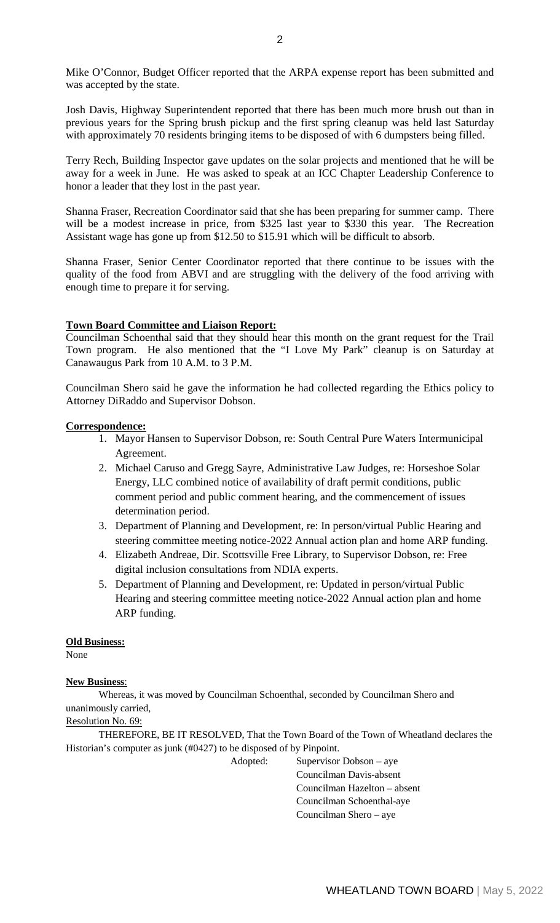Mike O'Connor, Budget Officer reported that the ARPA expense report has been submitted and was accepted by the state.

Josh Davis, Highway Superintendent reported that there has been much more brush out than in previous years for the Spring brush pickup and the first spring cleanup was held last Saturday with approximately 70 residents bringing items to be disposed of with 6 dumpsters being filled.

Terry Rech, Building Inspector gave updates on the solar projects and mentioned that he will be away for a week in June. He was asked to speak at an ICC Chapter Leadership Conference to honor a leader that they lost in the past year.

Shanna Fraser, Recreation Coordinator said that she has been preparing for summer camp. There will be a modest increase in price, from \$325 last year to \$330 this year. The Recreation Assistant wage has gone up from \$12.50 to \$15.91 which will be difficult to absorb.

Shanna Fraser, Senior Center Coordinator reported that there continue to be issues with the quality of the food from ABVI and are struggling with the delivery of the food arriving with enough time to prepare it for serving.

## **Town Board Committee and Liaison Report:**

Councilman Schoenthal said that they should hear this month on the grant request for the Trail Town program. He also mentioned that the "I Love My Park" cleanup is on Saturday at Canawaugus Park from 10 A.M. to 3 P.M.

Councilman Shero said he gave the information he had collected regarding the Ethics policy to Attorney DiRaddo and Supervisor Dobson.

#### **Correspondence:**

- 1. Mayor Hansen to Supervisor Dobson, re: South Central Pure Waters Intermunicipal Agreement.
- 2. Michael Caruso and Gregg Sayre, Administrative Law Judges, re: Horseshoe Solar Energy, LLC combined notice of availability of draft permit conditions, public comment period and public comment hearing, and the commencement of issues determination period.
- 3. Department of Planning and Development, re: In person/virtual Public Hearing and steering committee meeting notice-2022 Annual action plan and home ARP funding.
- 4. Elizabeth Andreae, Dir. Scottsville Free Library, to Supervisor Dobson, re: Free digital inclusion consultations from NDIA experts.
- 5. Department of Planning and Development, re: Updated in person/virtual Public Hearing and steering committee meeting notice-2022 Annual action plan and home ARP funding.

#### **Old Business:**

None

## **New Business**:

Whereas, it was moved by Councilman Schoenthal, seconded by Councilman Shero and unanimously carried,

# Resolution No. 69:

THEREFORE, BE IT RESOLVED, That the Town Board of the Town of Wheatland declares the Historian's computer as junk (#0427) to be disposed of by Pinpoint.

Adopted: Supervisor Dobson – aye

Councilman Davis-absent Councilman Hazelton – absent Councilman Schoenthal-aye Councilman Shero – aye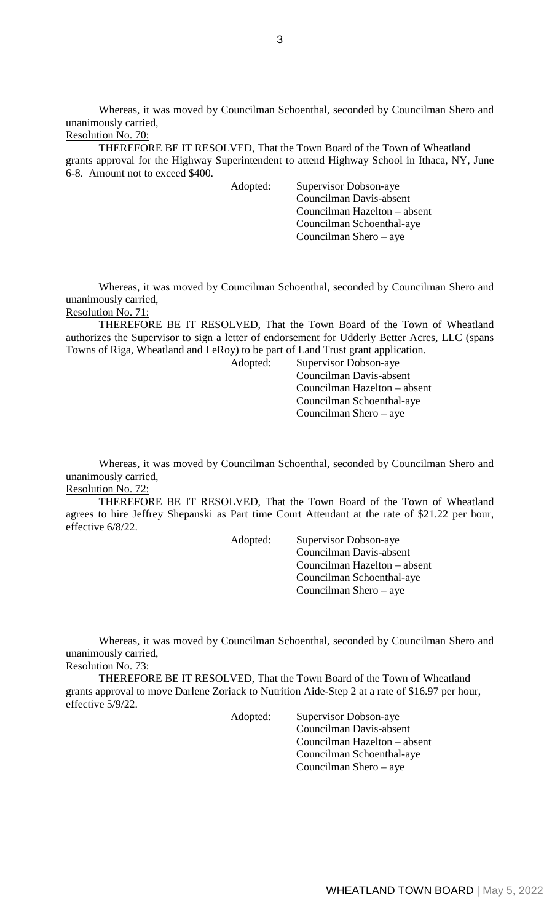Whereas, it was moved by Councilman Schoenthal, seconded by Councilman Shero and unanimously carried,

# Resolution No. 70:

THEREFORE BE IT RESOLVED, That the Town Board of the Town of Wheatland grants approval for the Highway Superintendent to attend Highway School in Ithaca, NY, June 6-8. Amount not to exceed \$400.

Adopted: Supervisor Dobson-aye Councilman Davis-absent Councilman Hazelton – absent Councilman Schoenthal-aye Councilman Shero – aye

Whereas, it was moved by Councilman Schoenthal, seconded by Councilman Shero and unanimously carried, Resolution No. 71:

THEREFORE BE IT RESOLVED, That the Town Board of the Town of Wheatland authorizes the Supervisor to sign a letter of endorsement for Udderly Better Acres, LLC (spans Towns of Riga, Wheatland and LeRoy) to be part of Land Trust grant application.

Adopted: Supervisor Dobson-aye Councilman Davis-absent Councilman Hazelton – absent Councilman Schoenthal-aye Councilman Shero – aye

Whereas, it was moved by Councilman Schoenthal, seconded by Councilman Shero and unanimously carried,

# Resolution No. 72:

THEREFORE BE IT RESOLVED, That the Town Board of the Town of Wheatland agrees to hire Jeffrey Shepanski as Part time Court Attendant at the rate of \$21.22 per hour, effective 6/8/22.

Adopted: Supervisor Dobson-aye Councilman Davis-absent Councilman Hazelton – absent Councilman Schoenthal-aye Councilman Shero – aye

Whereas, it was moved by Councilman Schoenthal, seconded by Councilman Shero and unanimously carried,

Resolution No. 73:

THEREFORE BE IT RESOLVED, That the Town Board of the Town of Wheatland grants approval to move Darlene Zoriack to Nutrition Aide-Step 2 at a rate of \$16.97 per hour, effective 5/9/22.

> Adopted: Supervisor Dobson-aye Councilman Davis-absent Councilman Hazelton – absent Councilman Schoenthal-aye Councilman Shero – aye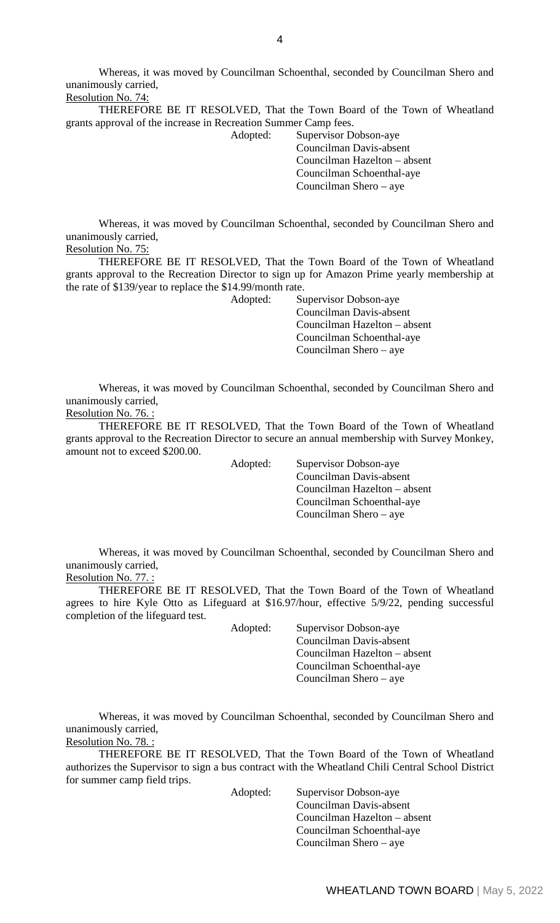Whereas, it was moved by Councilman Schoenthal, seconded by Councilman Shero and unanimously carried, Resolution No. 74:

THEREFORE BE IT RESOLVED, That the Town Board of the Town of Wheatland grants approval of the increase in Recreation Summer Camp fees.

Adopted: Supervisor Dobson-aye Councilman Davis-absent Councilman Hazelton – absent Councilman Schoenthal-aye Councilman Shero – aye

Whereas, it was moved by Councilman Schoenthal, seconded by Councilman Shero and unanimously carried,

Resolution No. 75:

THEREFORE BE IT RESOLVED, That the Town Board of the Town of Wheatland grants approval to the Recreation Director to sign up for Amazon Prime yearly membership at the rate of \$139/year to replace the \$14.99/month rate.

Adopted: Supervisor Dobson-aye Councilman Davis-absent Councilman Hazelton – absent Councilman Schoenthal-aye Councilman Shero – aye

Whereas, it was moved by Councilman Schoenthal, seconded by Councilman Shero and unanimously carried,

Resolution No. 76. :

THEREFORE BE IT RESOLVED, That the Town Board of the Town of Wheatland grants approval to the Recreation Director to secure an annual membership with Survey Monkey, amount not to exceed \$200.00.

Adopted: Supervisor Dobson-aye Councilman Davis-absent Councilman Hazelton – absent Councilman Schoenthal-aye Councilman Shero – aye

Whereas, it was moved by Councilman Schoenthal, seconded by Councilman Shero and unanimously carried,

Resolution No. 77. :

THEREFORE BE IT RESOLVED, That the Town Board of the Town of Wheatland agrees to hire Kyle Otto as Lifeguard at \$16.97/hour, effective 5/9/22, pending successful completion of the lifeguard test.

Adopted: Supervisor Dobson-aye Councilman Davis-absent Councilman Hazelton – absent Councilman Schoenthal-aye Councilman Shero – aye

Whereas, it was moved by Councilman Schoenthal, seconded by Councilman Shero and unanimously carried,

Resolution No. 78. :

THEREFORE BE IT RESOLVED, That the Town Board of the Town of Wheatland authorizes the Supervisor to sign a bus contract with the Wheatland Chili Central School District for summer camp field trips.

Adopted: Supervisor Dobson-aye Councilman Davis-absent Councilman Hazelton – absent Councilman Schoenthal-aye Councilman Shero – aye